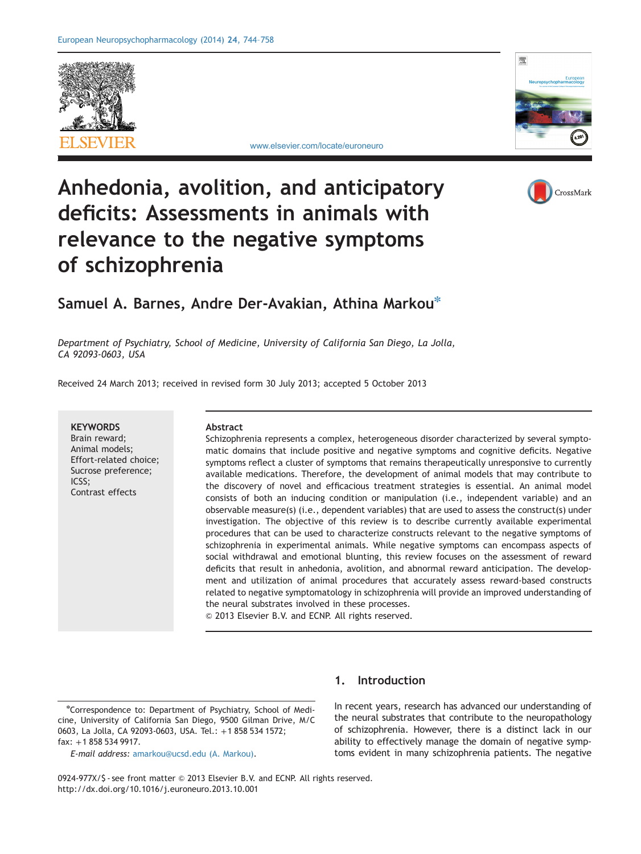



CrossMark

# Anhedonia, avolition, and anticipatory deficits: Assessments in animals with relevance to the negative symptoms of schizophrenia

<www.elsevier.com/locate/euroneuro>

### Samuel A. Barnes, Andre Der-Avakian, Athina Markou\*

Department of Psychiatry, School of Medicine, University of California San Diego, La Jolla, CA 92093-0603, USA

Received 24 March 2013; received in revised form 30 July 2013; accepted 5 October 2013

**KEYWORDS** Brain reward; Animal models; Effort-related choice; Sucrose preference; ICSS; Contrast effects

#### Abstract

Schizophrenia represents a complex, heterogeneous disorder characterized by several symptomatic domains that include positive and negative symptoms and cognitive deficits. Negative symptoms reflect a cluster of symptoms that remains therapeutically unresponsive to currently available medications. Therefore, the development of animal models that may contribute to the discovery of novel and efficacious treatment strategies is essential. An animal model consists of both an inducing condition or manipulation (i.e., independent variable) and an observable measure(s) (i.e., dependent variables) that are used to assess the construct(s) under investigation. The objective of this review is to describe currently available experimental procedures that can be used to characterize constructs relevant to the negative symptoms of schizophrenia in experimental animals. While negative symptoms can encompass aspects of social withdrawal and emotional blunting, this review focuses on the assessment of reward deficits that result in anhedonia, avolition, and abnormal reward anticipation. The development and utilization of animal procedures that accurately assess reward-based constructs related to negative symptomatology in schizophrenia will provide an improved understanding of the neural substrates involved in these processes.

 $\odot$  2013 Elsevier B.V. and ECNP. All rights reserved.

E-mail address: [amarkou@ucsd.edu \(A. Markou\).](mailto:amarkou@ucsd.edu)

#### 1. Introduction

In recent years, research has advanced our understanding of the neural substrates that contribute to the neuropathology of schizophrenia. However, there is a distinct lack in our ability to effectively manage the domain of negative symptoms evident in many schizophrenia patients. The negative

0924-977X/\$ - see front matter © 2013 Elsevier B.V. and ECNP. All rights reserved. [http://dx.doi.org/10.1016/j.euroneuro.2013.10.001](dx.doi.org/10.1016/j.euroneuro.2013.10.001)

n Correspondence to: Department of Psychiatry, School of Medicine, University of California San Diego, 9500 Gilman Drive, M/C 0603, La Jolla, CA 92093-0603, USA. Tel.: +1 858 534 1572; fax: +1 858 534 9917.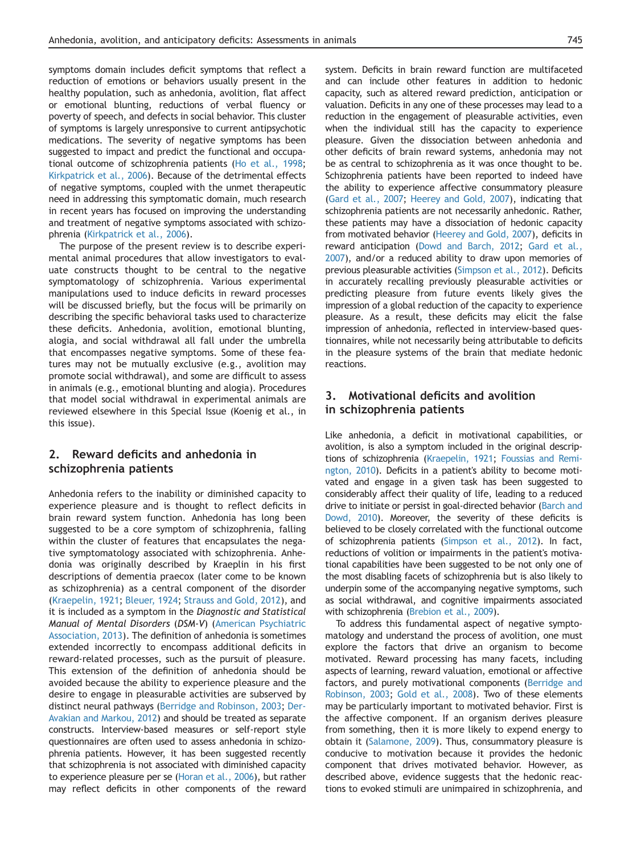symptoms domain includes deficit symptoms that reflect a reduction of emotions or behaviors usually present in the healthy population, such as anhedonia, avolition, flat affect or emotional blunting, reductions of verbal fluency or poverty of speech, and defects in social behavior. This cluster of symptoms is largely unresponsive to current antipsychotic medications. The severity of negative symptoms has been suggested to impact and predict the functional and occupational outcome of schizophrenia patients (Ho et al., 1998; Kirkpatrick et al., 2006). Because of the detrimental effects of negative symptoms, coupled with the unmet therapeutic need in addressing this symptomatic domain, much research in recent years has focused on improving the understanding and treatment of negative symptoms associated with schizophrenia (Kirkpatrick et al., 2006).

The purpose of the present review is to describe experimental animal procedures that allow investigators to evaluate constructs thought to be central to the negative symptomatology of schizophrenia. Various experimental manipulations used to induce deficits in reward processes will be discussed briefly, but the focus will be primarily on describing the specific behavioral tasks used to characterize these deficits. Anhedonia, avolition, emotional blunting, alogia, and social withdrawal all fall under the umbrella that encompasses negative symptoms. Some of these features may not be mutually exclusive (e.g., avolition may promote social withdrawal), and some are difficult to assess in animals (e.g., emotional blunting and alogia). Procedures that model social withdrawal in experimental animals are reviewed elsewhere in this Special Issue (Koenig et al., in this issue).

#### 2. Reward deficits and anhedonia in schizophrenia patients

Anhedonia refers to the inability or diminished capacity to experience pleasure and is thought to reflect deficits in brain reward system function. Anhedonia has long been suggested to be a core symptom of schizophrenia, falling within the cluster of features that encapsulates the negative symptomatology associated with schizophrenia. Anhedonia was originally described by Kraeplin in his first descriptions of dementia praecox (later come to be known as schizophrenia) as a central component of the disorder (Kraepelin, 1921; Bleuer, 1924; Strauss and Gold, 2012), and it is included as a symptom in the Diagnostic and Statistical Manual of Mental Disorders (DSM-V) (American Psychiatric Association, 2013). The definition of anhedonia is sometimes extended incorrectly to encompass additional deficits in reward-related processes, such as the pursuit of pleasure. This extension of the definition of anhedonia should be avoided because the ability to experience pleasure and the desire to engage in pleasurable activities are subserved by distinct neural pathways (Berridge and Robinson, 2003; Der-Avakian and Markou, 2012) and should be treated as separate constructs. Interview-based measures or self-report style questionnaires are often used to assess anhedonia in schizophrenia patients. However, it has been suggested recently that schizophrenia is not associated with diminished capacity to experience pleasure per se (Horan et al., 2006), but rather may reflect deficits in other components of the reward system. Deficits in brain reward function are multifaceted and can include other features in addition to hedonic capacity, such as altered reward prediction, anticipation or valuation. Deficits in any one of these processes may lead to a reduction in the engagement of pleasurable activities, even when the individual still has the capacity to experience pleasure. Given the dissociation between anhedonia and other deficits of brain reward systems, anhedonia may not be as central to schizophrenia as it was once thought to be. Schizophrenia patients have been reported to indeed have the ability to experience affective consummatory pleasure (Gard et al., 2007; Heerey and Gold, 2007), indicating that schizophrenia patients are not necessarily anhedonic. Rather, these patients may have a dissociation of hedonic capacity from motivated behavior (Heerey and Gold, 2007), deficits in reward anticipation (Dowd and Barch, 2012; Gard et al., 2007), and/or a reduced ability to draw upon memories of previous pleasurable activities (Simpson et al., 2012). Deficits in accurately recalling previously pleasurable activities or predicting pleasure from future events likely gives the impression of a global reduction of the capacity to experience pleasure. As a result, these deficits may elicit the false impression of anhedonia, reflected in interview-based questionnaires, while not necessarily being attributable to deficits in the pleasure systems of the brain that mediate hedonic reactions.

#### 3. Motivational deficits and avolition in schizophrenia patients

Like anhedonia, a deficit in motivational capabilities, or avolition, is also a symptom included in the original descriptions of schizophrenia (Kraepelin, 1921; Foussias and Remington, 2010). Deficits in a patient's ability to become motivated and engage in a given task has been suggested to considerably affect their quality of life, leading to a reduced drive to initiate or persist in goal-directed behavior (Barch and Dowd, 2010). Moreover, the severity of these deficits is believed to be closely correlated with the functional outcome of schizophrenia patients (Simpson et al., 2012). In fact, reductions of volition or impairments in the patient's motivational capabilities have been suggested to be not only one of the most disabling facets of schizophrenia but is also likely to underpin some of the accompanying negative symptoms, such as social withdrawal, and cognitive impairments associated with schizophrenia (Brebion et al., 2009).

To address this fundamental aspect of negative symptomatology and understand the process of avolition, one must explore the factors that drive an organism to become motivated. Reward processing has many facets, including aspects of learning, reward valuation, emotional or affective factors, and purely motivational components (Berridge and Robinson, 2003; Gold et al., 2008). Two of these elements may be particularly important to motivated behavior. First is the affective component. If an organism derives pleasure from something, then it is more likely to expend energy to obtain it (Salamone, 2009). Thus, consummatory pleasure is conducive to motivation because it provides the hedonic component that drives motivated behavior. However, as described above, evidence suggests that the hedonic reactions to evoked stimuli are unimpaired in schizophrenia, and